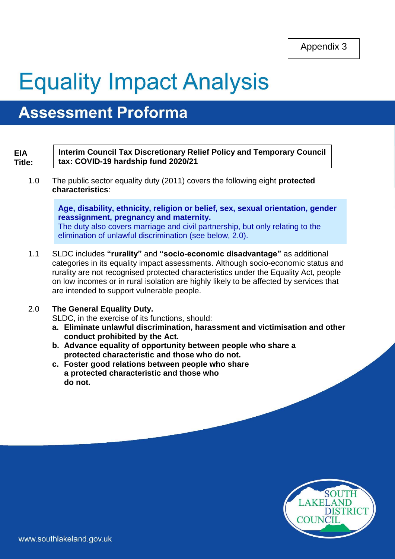Appendix 3

# **Equality Impact Analysis**

# **Assessment Proforma**

#### **EIA Title:**

**Interim Council Tax Discretionary Relief Policy and Temporary Council tax: COVID-19 hardship fund 2020/21**

1.0 The public sector equality duty (2011) covers the following eight **protected characteristics**:

> **Age, disability, ethnicity, religion or belief, sex, sexual orientation, gender reassignment, pregnancy and maternity.**  The duty also covers marriage and civil partnership, but only relating to the elimination of unlawful discrimination (see below, 2.0).

1.1 SLDC includes **"rurality"** and **"socio-economic disadvantage"** as additional categories in its equality impact assessments. Although socio-economic status and rurality are not recognised protected characteristics under the Equality Act, people on low incomes or in rural isolation are highly likely to be affected by services that are intended to support vulnerable people.

#### 2.0 **The General Equality Duty.**

SLDC, in the exercise of its functions, should:

- **a. Eliminate unlawful discrimination, harassment and victimisation and other conduct prohibited by the Act.**
- **b. Advance equality of opportunity between people who share a protected characteristic and those who do not.**
- **c. Foster good relations between people who share a protected characteristic and those who do not.**

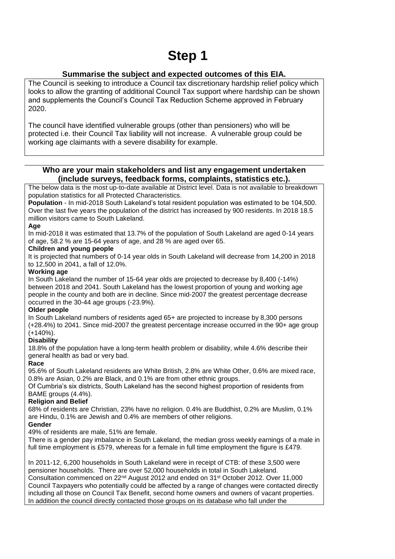## **Step 1**

#### **Summarise the subject and expected outcomes of this EIA.**

The Council is seeking to introduce a Council tax discretionary hardship relief policy which looks to allow the granting of additional Council Tax support where hardship can be shown and supplements the Council's Council Tax Reduction Scheme approved in February 2020.

The council have identified vulnerable groups (other than pensioners) who will be protected i.e. their Council Tax liability will not increase. A vulnerable group could be working age claimants with a severe disability for example.

#### **Who are your main stakeholders and list any engagement undertaken (include surveys, feedback forms, complaints, statistics etc.).**

The below data is the most up-to-date available at District level. Data is not available to breakdown population statistics for all Protected Characteristics.

**Population** - In mid-2018 South Lakeland's total resident population was estimated to be 104,500. Over the last five years the population of the district has increased by 900 residents. In 2018 18.5 million visitors came to South Lakeland.

#### **Age**

In mid-2018 it was estimated that 13.7% of the population of South Lakeland are aged 0-14 years of age, 58.2 % are 15-64 years of age, and 28 % are aged over 65.

#### **Children and young people**

It is projected that numbers of 0-14 year olds in South Lakeland will decrease from 14,200 in 2018 to 12,500 in 2041, a fall of 12.0%.

#### **Working age**

In South Lakeland the number of 15-64 year olds are projected to decrease by 8,400 (-14%) between 2018 and 2041. South Lakeland has the lowest proportion of young and working age people in the county and both are in decline. Since mid-2007 the greatest percentage decrease occurred in the 30-44 age groups (-23.9%).

#### **Older people**

In South Lakeland numbers of residents aged 65+ are projected to increase by 8,300 persons (+28.4%) to 2041. Since mid-2007 the greatest percentage increase occurred in the 90+ age group  $(+140\%)$ .

#### **Disability**

18.8% of the population have a long-term health problem or disability, while 4.6% describe their general health as bad or very bad.

#### **Race**

95.6% of South Lakeland residents are White British, 2.8% are White Other, 0.6% are mixed race, 0.8% are Asian, 0.2% are Black, and 0.1% are from other ethnic groups.

Of Cumbria's six districts, South Lakeland has the second highest proportion of residents from BAME groups (4.4%).

#### **Religion and Belief**

68% of residents are Christian, 23% have no religion. 0.4% are Buddhist, 0.2% are Muslim, 0.1% are Hindu, 0.1% are Jewish and 0.4% are members of other religions.

#### **Gender**

49% of residents are male, 51% are female.

There is a gender pay imbalance in South Lakeland, the median gross weekly earnings of a male in full time employment is £579, whereas for a female in full time employment the figure is £479.

In 2011-12, 6,200 households in South Lakeland were in receipt of CTB: of these 3,500 were pensioner households. There are over 52,000 households in total in South Lakeland. Consultation commenced on 22nd August 2012 and ended on 31st October 2012. Over 11,000 Council Taxpayers who potentially could be affected by a range of changes were contacted directly including all those on Council Tax Benefit, second home owners and owners of vacant properties. In addition the council directly contacted those groups on its database who fall under the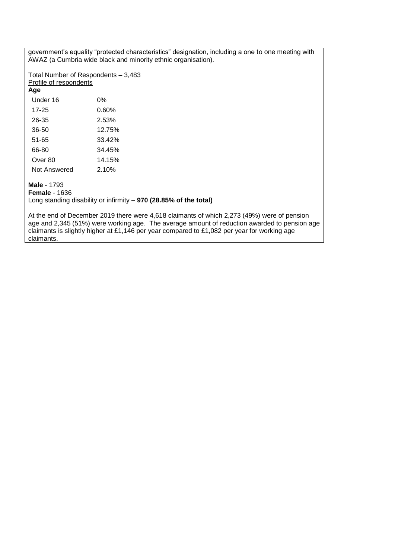government's equality "protected characteristics" designation, including a one to one meeting with AWAZ (a Cumbria wide black and minority ethnic organisation).

Total Number of Respondents – 3,483 Profile of respondents

#### **Age**

| Under 16     | 0%     |
|--------------|--------|
| 17-25        | 0.60%  |
| 26-35        | 2.53%  |
| 36-50        | 12.75% |
| 51-65        | 33.42% |
| 66-80        | 34.45% |
| Over 80      | 14.15% |
| Not Answered | 2.10%  |

#### **Male** - 1793

**Female** - 1636

Long standing disability or infirmity **– 970 (28.85% of the total)**

At the end of December 2019 there were 4,618 claimants of which 2,273 (49%) were of pension age and 2,345 (51%) were working age. The average amount of reduction awarded to pension age claimants is slightly higher at £1,146 per year compared to £1,082 per year for working age claimants.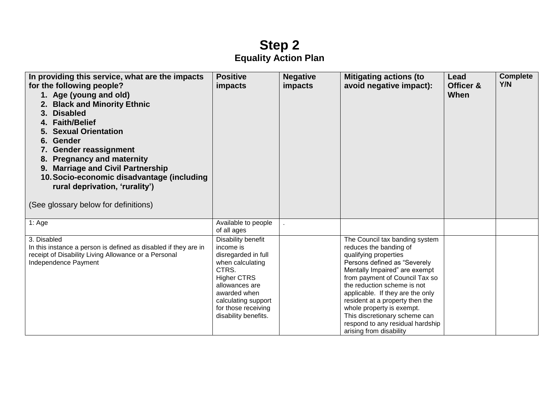### **Step 2 Equality Action Plan**

| In providing this service, what are the impacts<br>for the following people?<br>1. Age (young and old)<br><b>Black and Minority Ethnic</b><br><b>Disabled</b><br>3.<br>4. Faith/Belief<br><b>Sexual Orientation</b><br>Gender<br>6.<br><b>Gender reassignment</b><br><b>Pregnancy and maternity</b><br>8.<br><b>Marriage and Civil Partnership</b><br>9.<br>10. Socio-economic disadvantage (including<br>rural deprivation, 'rurality')<br>(See glossary below for definitions) | <b>Positive</b><br>impacts                                                                                                                                                                                        | <b>Negative</b><br><i>impacts</i> | <b>Mitigating actions (to</b><br>avoid negative impact):                                                                                                                                                                                                                                                                                                                                                                | Lead<br>Officer &<br>When | <b>Complete</b><br>Y/N |
|----------------------------------------------------------------------------------------------------------------------------------------------------------------------------------------------------------------------------------------------------------------------------------------------------------------------------------------------------------------------------------------------------------------------------------------------------------------------------------|-------------------------------------------------------------------------------------------------------------------------------------------------------------------------------------------------------------------|-----------------------------------|-------------------------------------------------------------------------------------------------------------------------------------------------------------------------------------------------------------------------------------------------------------------------------------------------------------------------------------------------------------------------------------------------------------------------|---------------------------|------------------------|
| 1: Age                                                                                                                                                                                                                                                                                                                                                                                                                                                                           | Available to people<br>of all ages                                                                                                                                                                                |                                   |                                                                                                                                                                                                                                                                                                                                                                                                                         |                           |                        |
| 3. Disabled<br>In this instance a person is defined as disabled if they are in<br>receipt of Disability Living Allowance or a Personal<br>Independence Payment                                                                                                                                                                                                                                                                                                                   | Disability benefit<br>income is<br>disregarded in full<br>when calculating<br>CTRS.<br><b>Higher CTRS</b><br>allowances are<br>awarded when<br>calculating support<br>for those receiving<br>disability benefits. |                                   | The Council tax banding system<br>reduces the banding of<br>qualifying properties<br>Persons defined as "Severely<br>Mentally Impaired" are exempt<br>from payment of Council Tax so<br>the reduction scheme is not<br>applicable. If they are the only<br>resident at a property then the<br>whole property is exempt.<br>This discretionary scheme can<br>respond to any residual hardship<br>arising from disability |                           |                        |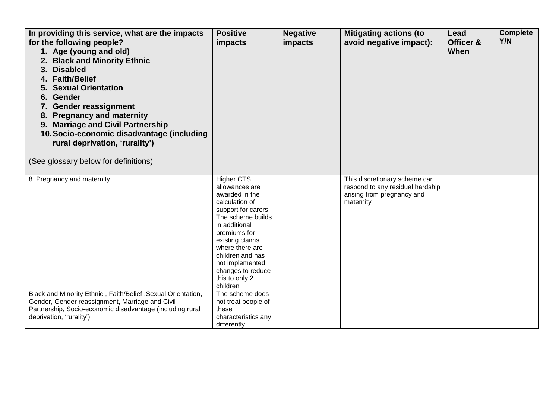| In providing this service, what are the impacts<br>for the following people?<br>1. Age (young and old)<br><b>Black and Minority Ethnic</b><br>2.<br><b>Disabled</b><br>3.<br>4. Faith/Belief<br><b>Sexual Orientation</b><br>6. Gender<br>7. Gender reassignment<br><b>Pregnancy and maternity</b><br>8.<br><b>Marriage and Civil Partnership</b><br>9.<br>10. Socio-economic disadvantage (including<br>rural deprivation, 'rurality')<br>(See glossary below for definitions) | <b>Positive</b><br>impacts                                                                                                                                                                                                                                                           | <b>Negative</b><br>impacts | <b>Mitigating actions (to</b><br>avoid negative impact):                                                     | Lead<br>Officer &<br>When | <b>Complete</b><br><b>Y/N</b> |
|---------------------------------------------------------------------------------------------------------------------------------------------------------------------------------------------------------------------------------------------------------------------------------------------------------------------------------------------------------------------------------------------------------------------------------------------------------------------------------|--------------------------------------------------------------------------------------------------------------------------------------------------------------------------------------------------------------------------------------------------------------------------------------|----------------------------|--------------------------------------------------------------------------------------------------------------|---------------------------|-------------------------------|
| 8. Pregnancy and maternity                                                                                                                                                                                                                                                                                                                                                                                                                                                      | <b>Higher CTS</b><br>allowances are<br>awarded in the<br>calculation of<br>support for carers.<br>The scheme builds<br>in additional<br>premiums for<br>existing claims<br>where there are<br>children and has<br>not implemented<br>changes to reduce<br>this to only 2<br>children |                            | This discretionary scheme can<br>respond to any residual hardship<br>arising from pregnancy and<br>maternity |                           |                               |
| Black and Minority Ethnic, Faith/Belief, Sexual Orientation,<br>Gender, Gender reassignment, Marriage and Civil<br>Partnership, Socio-economic disadvantage (including rural<br>deprivation, 'rurality')                                                                                                                                                                                                                                                                        | The scheme does<br>not treat people of<br>these<br>characteristics any<br>differently.                                                                                                                                                                                               |                            |                                                                                                              |                           |                               |